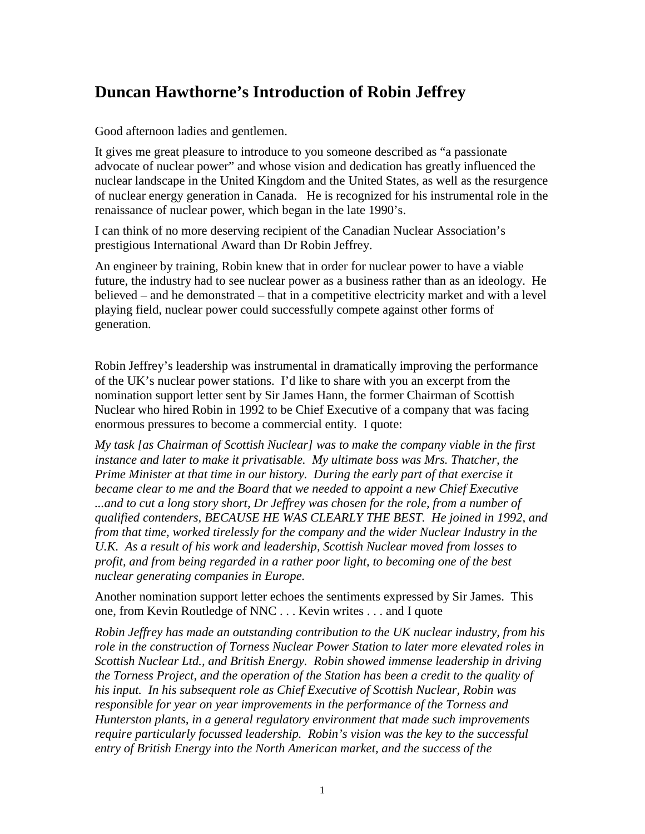## **Duncan Hawthorne's Introduction of Robin Jeffrey**

Good afternoon ladies and gentlemen.

It gives me great pleasure to introduce to you someone described as "a passionate advocate of nuclear power" and whose vision and dedication has greatly influenced the nuclear landscape in the United Kingdom and the United States, as well as the resurgence of nuclear energy generation in Canada. He is recognized for his instrumental role in the renaissance of nuclear power, which began in the late 1990's.

I can think of no more deserving recipient of the Canadian Nuclear Association's prestigious International Award than Dr Robin Jeffrey.

An engineer by training, Robin knew that in order for nuclear power to have a viable future, the industry had to see nuclear power as a business rather than as an ideology. He believed – and he demonstrated – that in a competitive electricity market and with a level playing field, nuclear power could successfully compete against other forms of generation.

Robin Jeffrey's leadership was instrumental in dramatically improving the performance of the UK's nuclear power stations. I'd like to share with you an excerpt from the nomination support letter sent by Sir James Hann, the former Chairman of Scottish Nuclear who hired Robin in 1992 to be Chief Executive of a company that was facing enormous pressures to become a commercial entity. I quote:

*My task [as Chairman of Scottish Nuclear] was to make the company viable in the first instance and later to make it privatisable. My ultimate boss was Mrs. Thatcher, the Prime Minister at that time in our history. During the early part of that exercise it became clear to me and the Board that we needed to appoint a new Chief Executive*  ...and to cut a long story short, Dr Jeffrey was chosen for the role, from a number of *qualified contenders, BECAUSE HE WAS CLEARLY THE BEST. He joined in 1992, and from that time, worked tirelessly for the company and the wider Nuclear Industry in the U.K. As a result of his work and leadership, Scottish Nuclear moved from losses to profit, and from being regarded in a rather poor light, to becoming one of the best nuclear generating companies in Europe.* 

Another nomination support letter echoes the sentiments expressed by Sir James. This one, from Kevin Routledge of NNC . . . Kevin writes . . . and I quote

*Robin Jeffrey has made an outstanding contribution to the UK nuclear industry, from his role in the construction of Torness Nuclear Power Station to later more elevated roles in Scottish Nuclear Ltd., and British Energy. Robin showed immense leadership in driving the Torness Project, and the operation of the Station has been a credit to the quality of his input. In his subsequent role as Chief Executive of Scottish Nuclear, Robin was responsible for year on year improvements in the performance of the Torness and Hunterston plants, in a general regulatory environment that made such improvements require particularly focussed leadership. Robin's vision was the key to the successful entry of British Energy into the North American market, and the success of the*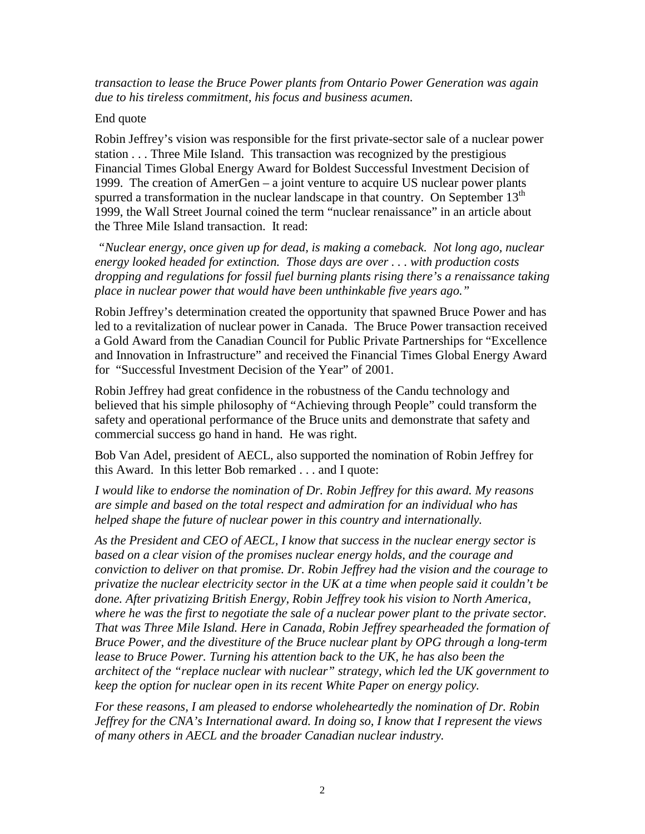*transaction to lease the Bruce Power plants from Ontario Power Generation was again due to his tireless commitment, his focus and business acumen.* 

## End quote

Robin Jeffrey's vision was responsible for the first private-sector sale of a nuclear power station . . . Three Mile Island. This transaction was recognized by the prestigious Financial Times Global Energy Award for Boldest Successful Investment Decision of 1999. The creation of AmerGen – a joint venture to acquire US nuclear power plants spurred a transformation in the nuclear landscape in that country. On September  $13<sup>th</sup>$ 1999, the Wall Street Journal coined the term "nuclear renaissance" in an article about the Three Mile Island transaction. It read:

 *"Nuclear energy, once given up for dead, is making a comeback. Not long ago, nuclear energy looked headed for extinction. Those days are over . . . with production costs dropping and regulations for fossil fuel burning plants rising there's a renaissance taking place in nuclear power that would have been unthinkable five years ago."* 

Robin Jeffrey's determination created the opportunity that spawned Bruce Power and has led to a revitalization of nuclear power in Canada. The Bruce Power transaction received a Gold Award from the Canadian Council for Public Private Partnerships for "Excellence and Innovation in Infrastructure" and received the Financial Times Global Energy Award for "Successful Investment Decision of the Year" of 2001.

Robin Jeffrey had great confidence in the robustness of the Candu technology and believed that his simple philosophy of "Achieving through People" could transform the safety and operational performance of the Bruce units and demonstrate that safety and commercial success go hand in hand. He was right.

Bob Van Adel, president of AECL, also supported the nomination of Robin Jeffrey for this Award. In this letter Bob remarked . . . and I quote:

*I would like to endorse the nomination of Dr. Robin Jeffrey for this award. My reasons are simple and based on the total respect and admiration for an individual who has helped shape the future of nuclear power in this country and internationally.* 

*As the President and CEO of AECL, I know that success in the nuclear energy sector is based on a clear vision of the promises nuclear energy holds, and the courage and conviction to deliver on that promise. Dr. Robin Jeffrey had the vision and the courage to privatize the nuclear electricity sector in the UK at a time when people said it couldn't be done. After privatizing British Energy, Robin Jeffrey took his vision to North America, where he was the first to negotiate the sale of a nuclear power plant to the private sector. That was Three Mile Island. Here in Canada, Robin Jeffrey spearheaded the formation of Bruce Power, and the divestiture of the Bruce nuclear plant by OPG through a long-term lease to Bruce Power. Turning his attention back to the UK, he has also been the architect of the "replace nuclear with nuclear" strategy, which led the UK government to keep the option for nuclear open in its recent White Paper on energy policy.* 

*For these reasons, I am pleased to endorse wholeheartedly the nomination of Dr. Robin Jeffrey for the CNA's International award. In doing so, I know that I represent the views of many others in AECL and the broader Canadian nuclear industry.*